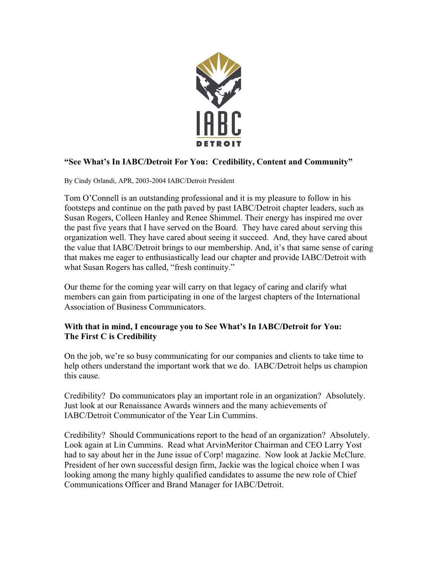

## **"See What's In IABC/Detroit For You: Credibility, Content and Community"**

By Cindy Orlandi, APR, 2003-2004 IABC/Detroit President

Tom O'Connell is an outstanding professional and it is my pleasure to follow in his footsteps and continue on the path paved by past IABC/Detroit chapter leaders, such as Susan Rogers, Colleen Hanley and Renee Shimmel. Their energy has inspired me over the past five years that I have served on the Board. They have cared about serving this organization well. They have cared about seeing it succeed. And, they have cared about the value that IABC/Detroit brings to our membership. And, it's that same sense of caring that makes me eager to enthusiastically lead our chapter and provide IABC/Detroit with what Susan Rogers has called, "fresh continuity."

Our theme for the coming year will carry on that legacy of caring and clarify what members can gain from participating in one of the largest chapters of the International Association of Business Communicators.

## **With that in mind, I encourage you to See What's In IABC/Detroit for You: The First C is Credibility**

On the job, we're so busy communicating for our companies and clients to take time to help others understand the important work that we do. IABC/Detroit helps us champion this cause.

Credibility? Do communicators play an important role in an organization? Absolutely. Just look at our Renaissance Awards winners and the many achievements of IABC/Detroit Communicator of the Year Lin Cummins.

Credibility? Should Communications report to the head of an organization? Absolutely. Look again at Lin Cummins. Read what ArvinMeritor Chairman and CEO Larry Yost had to say about her in the June issue of Corp! magazine. Now look at Jackie McClure. President of her own successful design firm, Jackie was the logical choice when I was looking among the many highly qualified candidates to assume the new role of Chief Communications Officer and Brand Manager for IABC/Detroit.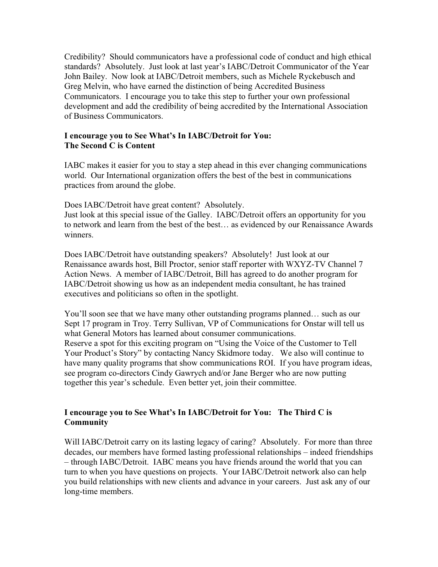Credibility? Should communicators have a professional code of conduct and high ethical standards? Absolutely. Just look at last year's IABC/Detroit Communicator of the Year John Bailey. Now look at IABC/Detroit members, such as Michele Ryckebusch and Greg Melvin, who have earned the distinction of being Accredited Business Communicators. I encourage you to take this step to further your own professional development and add the credibility of being accredited by the International Association of Business Communicators.

## **I encourage you to See What's In IABC/Detroit for You: The Second C is Content**

IABC makes it easier for you to stay a step ahead in this ever changing communications world. Our International organization offers the best of the best in communications practices from around the globe.

Does IABC/Detroit have great content? Absolutely.

Just look at this special issue of the Galley. IABC/Detroit offers an opportunity for you to network and learn from the best of the best… as evidenced by our Renaissance Awards winners.

Does IABC/Detroit have outstanding speakers? Absolutely! Just look at our Renaissance awards host, Bill Proctor, senior staff reporter with WXYZ-TV Channel 7 Action News. A member of IABC/Detroit, Bill has agreed to do another program for IABC/Detroit showing us how as an independent media consultant, he has trained executives and politicians so often in the spotlight.

You'll soon see that we have many other outstanding programs planned… such as our Sept 17 program in Troy. Terry Sullivan, VP of Communications for Onstar will tell us what General Motors has learned about consumer communications. Reserve a spot for this exciting program on "Using the Voice of the Customer to Tell Your Product's Story" by contacting Nancy Skidmore today. We also will continue to have many quality programs that show communications ROI. If you have program ideas, see program co-directors Cindy Gawrych and/or Jane Berger who are now putting together this year's schedule. Even better yet, join their committee.

## **I encourage you to See What's In IABC/Detroit for You: The Third C is Community**

Will IABC/Detroit carry on its lasting legacy of caring? Absolutely. For more than three decades, our members have formed lasting professional relationships – indeed friendships – through IABC/Detroit. IABC means you have friends around the world that you can turn to when you have questions on projects. Your IABC/Detroit network also can help you build relationships with new clients and advance in your careers. Just ask any of our long-time members.